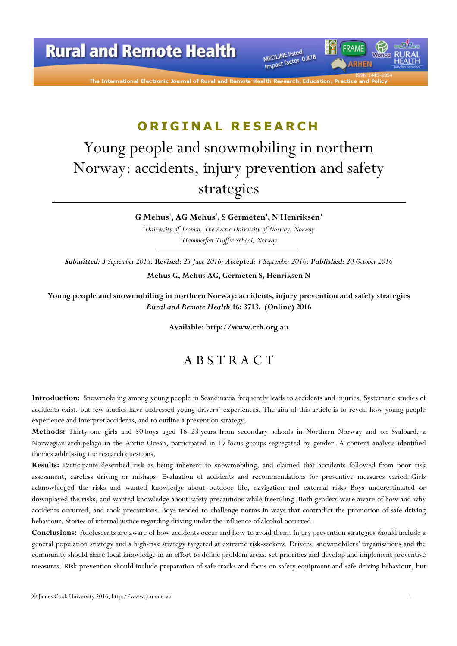

The International Electronic Journal of Rural and

## ORIGINAL RESEARCH

# Young people and snowmobiling in northern Norway: accidents, injury prevention and safety strategies

G Mehus $^{\rm l}$ , AG Mehus $^{\rm l}$ , S Germeten $^{\rm l}$ , N Henriksen $^{\rm l}$  $1$ University of Tromsø, The Arctic University of Norway, Norway <sup>2</sup>Hammerfest Traffic School, Norway

Submitted: 3 September 2015; Revised: 25 June 2016; Accepted: 1 September 2016; Published: 20 October 2016 Mehus G, Mehus AG, Germeten S, Henriksen N

Young people and snowmobiling in northern Norway: accidents, injury prevention and safety strategies Rural and Remote Health 16: 3713. (Online) 2016

Available: http://www.rrh.org.au

### A B S T R A C T

Introduction: Snowmobiling among young people in Scandinavia frequently leads to accidents and injuries. Systematic studies of accidents exist, but few studies have addressed young drivers' experiences. The aim of this article is to reveal how young people experience and interpret accidents, and to outline a prevention strategy.

Methods: Thirty-one girls and 50 boys aged 16–23 years from secondary schools in Northern Norway and on Svalbard, a Norwegian archipelago in the Arctic Ocean, participated in 17 focus groups segregated by gender. A content analysis identified themes addressing the research questions.

Results: Participants described risk as being inherent to snowmobiling, and claimed that accidents followed from poor risk assessment, careless driving or mishaps. Evaluation of accidents and recommendations for preventive measures varied. Girls acknowledged the risks and wanted knowledge about outdoor life, navigation and external risks. Boys underestimated or downplayed the risks, and wanted knowledge about safety precautions while freeriding. Both genders were aware of how and why accidents occurred, and took precautions. Boys tended to challenge norms in ways that contradict the promotion of safe driving behaviour. Stories of internal justice regarding driving under the influence of alcohol occurred.

Conclusions: Adolescents are aware of how accidents occur and how to avoid them. Injury prevention strategies should include a general population strategy and a high-risk strategy targeted at extreme risk-seekers. Drivers, snowmobilers' organisations and the community should share local knowledge in an effort to define problem areas, set priorities and develop and implement preventive measures. Risk prevention should include preparation of safe tracks and focus on safety equipment and safe driving behaviour, but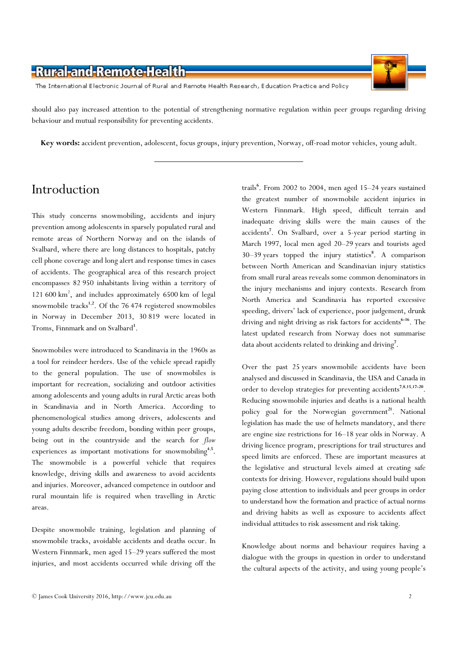

The International Electronic Journal of Rural and Remote Health Research, Education Practice and Policy

should also pay increased attention to the potential of strengthening normative regulation within peer groups regarding driving behaviour and mutual responsibility for preventing accidents.

Key words: accident prevention, adolescent, focus groups, injury prevention, Norway, off-road motor vehicles, young adult.

### Introduction

This study concerns snowmobiling, accidents and injury prevention among adolescents in sparsely populated rural and remote areas of Northern Norway and on the islands of Svalbard, where there are long distances to hospitals, patchy cell phone coverage and long alert and response times in cases of accidents. The geographical area of this research project encompasses 82 950 inhabitants living within a territory of 121 600 km<sup>2</sup>, and includes approximately 6500 km of legal snowmobile tracks<sup>1,2</sup>. Of the 76 474 registered snowmobiles in Norway in December 2013, 30 819 were located in Troms, Finnmark and on Svalbard<sup>3</sup>.

Snowmobiles were introduced to Scandinavia in the 1960s as a tool for reindeer herders. Use of the vehicle spread rapidly to the general population. The use of snowmobiles is important for recreation, socializing and outdoor activities among adolescents and young adults in rural Arctic areas both in Scandinavia and in North America. According to phenomenological studies among drivers, adolescents and young adults describe freedom, bonding within peer groups, being out in the countryside and the search for flow experiences as important motivations for snowmobiling<sup>4,5</sup>. The snowmobile is a powerful vehicle that requires knowledge, driving skills and awareness to avoid accidents and injuries. Moreover, advanced competence in outdoor and rural mountain life is required when travelling in Arctic areas.

Despite snowmobile training, legislation and planning of snowmobile tracks, avoidable accidents and deaths occur. In Western Finnmark, men aged 15–29 years suffered the most injuries, and most accidents occurred while driving off the

trails<sup>6</sup>. From 2002 to 2004, men aged 15–24 years sustained the greatest number of snowmobile accident injuries in Western Finnmark. High speed, difficult terrain and inadequate driving skills were the main causes of the accidents<sup>7</sup>. On Svalbard, over a 5-year period starting in March 1997, local men aged 20–29 years and tourists aged 30-39 years topped the injury statistics<sup>8</sup>. A comparison between North American and Scandinavian injury statistics from small rural areas reveals some common denominators in the injury mechanisms and injury contexts. Research from North America and Scandinavia has reported excessive speeding, drivers' lack of experience, poor judgement, drunk driving and night driving as risk factors for accidents<sup>6-16</sup>. The latest updated research from Norway does not summarise data about accidents related to drinking and driving<sup>7</sup>.

Over the past 25 years snowmobile accidents have been analysed and discussed in Scandinavia, the USA and Canada in order to develop strategies for preventing accidents<sup>7,8,15,17-20</sup>. Reducing snowmobile injuries and deaths is a national health policy goal for the Norwegian government<sup>21</sup>. National legislation has made the use of helmets mandatory, and there are engine size restrictions for 16–18 year olds in Norway. A driving licence program, prescriptions for trail structures and speed limits are enforced. These are important measures at the legislative and structural levels aimed at creating safe contexts for driving. However, regulations should build upon paying close attention to individuals and peer groups in order to understand how the formation and practice of actual norms and driving habits as well as exposure to accidents affect individual attitudes to risk assessment and risk taking.

Knowledge about norms and behaviour requires having a dialogue with the groups in question in order to understand the cultural aspects of the activity, and using young people's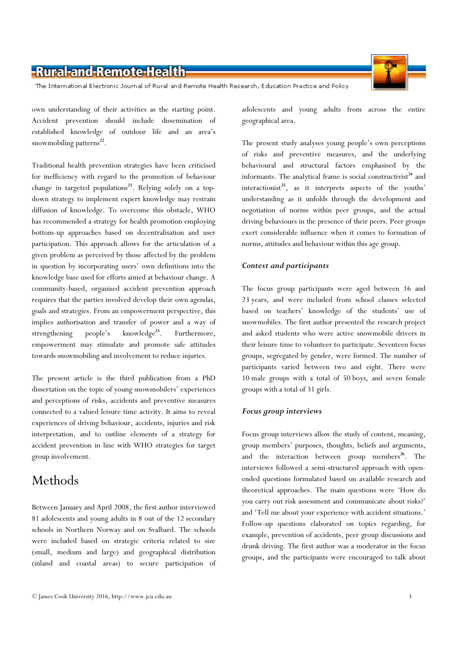The International Electronic Journal of Rural and Remote Health Research, Education Practice and Policy

own understanding of their activities as the starting point. Accident prevention should include dissemination of established knowledge of outdoor life and an area's snowmobiling patterns<sup>22</sup>.

Traditional health prevention strategies have been criticised for inefficiency with regard to the promotion of behaviour change in targeted populations<sup>23</sup>. Relying solely on a topdown strategy to implement expert knowledge may restrain diffusion of knowledge. To overcome this obstacle, WHO has recommended a strategy for health promotion employing bottom-up approaches based on decentralisation and user participation. This approach allows for the articulation of a given problem as perceived by those affected by the problem in question by incorporating users' own definitions into the knowledge base used for efforts aimed at behaviour change. A community-based, organised accident prevention approach requires that the parties involved develop their own agendas, goals and strategies. From an empowerment perspective, this implies authorisation and transfer of power and a way of strengthening people's knowledge<sup>23</sup>. Furthermore, empowerment may stimulate and promote safe attitudes towards snowmobiling and involvement to reduce injuries.

The present article is the third publication from a PhD dissertation on the topic of young snowmobilers' experiences and perceptions of risks, accidents and preventive measures connected to a valued leisure time activity. It aims to reveal experiences of driving behaviour, accidents, injuries and risk interpretation, and to outline elements of a strategy for accident prevention in line with WHO strategies for target group involvement.

### Methods

Between January and April 2008, the first author interviewed 81 adolescents and young adults in 8 out of the 12 secondary schools in Northern Norway and on Svalbard. The schools were included based on strategic criteria related to size (small, medium and large) and geographical distribution (inland and coastal areas) to secure participation of adolescents and young adults from across the entire geographical area.

The present study analyses young people's own perceptions of risks and preventive measures, and the underlying behavioural and structural factors emphasised by the informants. The analytical frame is social constructivist<sup>24</sup> and interactionist<sup>25</sup>, as it interprets aspects of the youths' understanding as it unfolds through the development and negotiation of norms within peer groups, and the actual driving behaviours in the presence of their peers. Peer groups exert considerable influence when it comes to formation of norms, attitudes and behaviour within this age group.

#### Context and participants

The focus group participants were aged between 16 and 23 years, and were included from school classes selected based on teachers' knowledge of the students' use of snowmobiles. The first author presented the research project and asked students who were active snowmobile drivers in their leisure time to volunteer to participate. Seventeen focus groups, segregated by gender, were formed. The number of participants varied between two and eight. There were 10 male groups with a total of 50 boys, and seven female groups with a total of 31 girls.

#### Focus group interviews

Focus group interviews allow the study of content, meaning, group members' purposes, thoughts, beliefs and arguments, and the interaction between group members<sup>26</sup>. The interviews followed a semi-structured approach with openended questions formulated based on available research and theoretical approaches. The main questions were 'How do you carry out risk assessment and communicate about risks?' and 'Tell me about your experience with accident situations.' Follow-up questions elaborated on topics regarding, for example, prevention of accidents, peer group discussions and drunk driving. The first author was a moderator in the focus groups, and the participants were encouraged to talk about

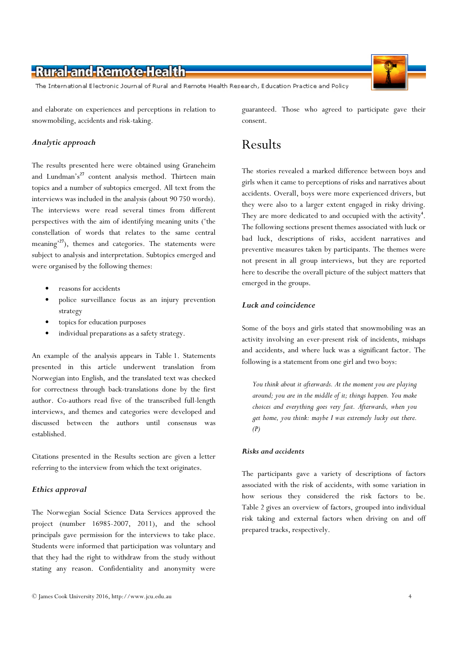The International Electronic Journal of Rural and Remote Health Research, Education Practice and Policy

and elaborate on experiences and perceptions in relation to snowmobiling, accidents and risk-taking.

#### Analytic approach

The results presented here were obtained using Graneheim and Lundman's<sup>27</sup> content analysis method. Thirteen main topics and a number of subtopics emerged. All text from the interviews was included in the analysis (about 90 750 words). The interviews were read several times from different perspectives with the aim of identifying meaning units ('the constellation of words that relates to the same central meaning<sup>27</sup>), themes and categories. The statements were subject to analysis and interpretation. Subtopics emerged and were organised by the following themes:

- reasons for accidents
- police surveillance focus as an injury prevention strategy
- topics for education purposes
- individual preparations as a safety strategy.

An example of the analysis appears in Table 1. Statements presented in this article underwent translation from Norwegian into English, and the translated text was checked for correctness through back-translations done by the first author. Co-authors read five of the transcribed full-length interviews, and themes and categories were developed and discussed between the authors until consensus was established.

Citations presented in the Results section are given a letter referring to the interview from which the text originates.

#### Ethics approval

The Norwegian Social Science Data Services approved the project (number 16985-2007, 2011), and the school principals gave permission for the interviews to take place. Students were informed that participation was voluntary and that they had the right to withdraw from the study without stating any reason. Confidentiality and anonymity were

guaranteed. Those who agreed to participate gave their consent.

#### Results

The stories revealed a marked difference between boys and girls when it came to perceptions of risks and narratives about accidents. Overall, boys were more experienced drivers, but they were also to a larger extent engaged in risky driving. They are more dedicated to and occupied with the activity<sup>4</sup>. The following sections present themes associated with luck or bad luck, descriptions of risks, accident narratives and preventive measures taken by participants. The themes were not present in all group interviews, but they are reported here to describe the overall picture of the subject matters that emerged in the groups.

#### Luck and coincidence

Some of the boys and girls stated that snowmobiling was an activity involving an ever-present risk of incidents, mishaps and accidents, and where luck was a significant factor. The following is a statement from one girl and two boys:

You think about it afterwards. At the moment you are playing around; you are in the middle of it; things happen. You make choices and everything goes very fast. Afterwards, when you get home, you think: maybe I was extremely lucky out there.  $(P)$ 

#### Risks and accidents

The participants gave a variety of descriptions of factors associated with the risk of accidents, with some variation in how serious they considered the risk factors to be. Table 2 gives an overview of factors, grouped into individual risk taking and external factors when driving on and off prepared tracks, respectively.

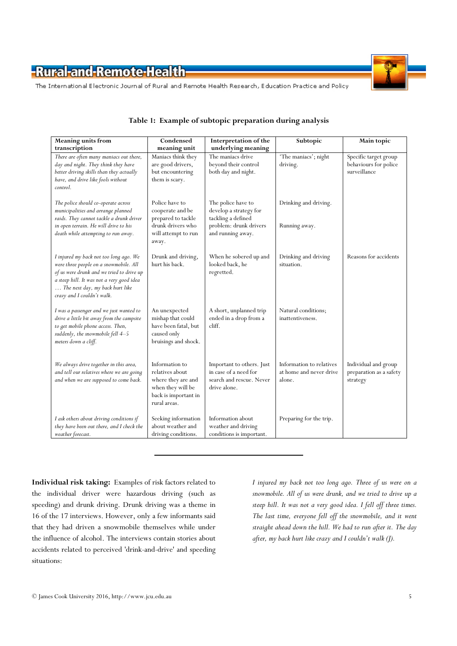

The International Electronic Journal of Rural and Remote Health Research, Education Practice and Policy

| <b>Meaning units from</b>                                                                                                                                                                                                                   | Condensed                                                                                                            | Interpretation of the                                                                                             | Subtopic                                                      | Main topic                                                     |
|---------------------------------------------------------------------------------------------------------------------------------------------------------------------------------------------------------------------------------------------|----------------------------------------------------------------------------------------------------------------------|-------------------------------------------------------------------------------------------------------------------|---------------------------------------------------------------|----------------------------------------------------------------|
| transcription                                                                                                                                                                                                                               | meaning unit                                                                                                         | underlying meaning                                                                                                |                                                               |                                                                |
| There are often many maniacs out there,<br>day and night. They think they have<br>better driving skills than they actually<br>have, and drive like fools without<br>control.                                                                | Maniacs think they<br>are good drivers,<br>but encountering<br>them is scary.                                        | The maniacs drive<br>beyond their control<br>both day and night.                                                  | 'The maniacs'; night<br>driving.                              | Specific target group<br>behaviours for police<br>surveillance |
| The police should co-operate across<br>municipalities and arrange planned<br>raids. They cannot tackle a drunk driver<br>in open terrain. He will drive to his<br>death while attempting to run away.                                       | Police have to<br>cooperate and be<br>prepared to tackle<br>drunk drivers who<br>will attempt to run<br>away.        | The police have to<br>develop a strategy for<br>tackling a defined<br>problem: drunk drivers<br>and running away. | Drinking and driving.<br>Running away.                        |                                                                |
| I injured my back not too long ago. We<br>were three people on a snowmobile. All<br>of us were drunk and we tried to drive up<br>a steep hill. It was not a very good idea<br>The next day, my back hurt like<br>crazy and I couldn't walk. | Drunk and driving,<br>hurt his back.                                                                                 | When he sobered up and<br>looked back, he<br>regretted.                                                           | Drinking and driving<br>situation.                            | Reasons for accidents                                          |
| I was a passenger and we just wanted to<br>drive a little bit away from the campsite<br>to get mobile phone access. Then,<br>suddenly, the snowmobile fell 4-5<br>meters down a cliff.                                                      | An unexpected<br>mishap that could<br>have been fatal, but<br>caused only<br>bruisings and shock.                    | A short, unplanned trip<br>ended in a drop from a<br>cliff.                                                       | Natural conditions;<br>inattentiveness.                       |                                                                |
| We always drive together in this area,<br>and tell our relatives where we are going<br>and when we are supposed to come back.                                                                                                               | Information to<br>relatives about<br>where they are and<br>when they will be<br>back is important in<br>rural areas. | Important to others. Just<br>in case of a need for<br>search and rescue. Never<br>drive alone.                    | Information to relatives<br>at home and never drive<br>alone. | Individual and group<br>preparation as a safety<br>strategy    |
| I ask others about driving conditions if<br>they have been out there, and I check the<br>weather forecast.                                                                                                                                  | Seeking information<br>about weather and<br>driving conditions.                                                      | Information about<br>weather and driving<br>conditions is important.                                              | Preparing for the trip.                                       |                                                                |

#### Table 1: Example of subtopic preparation during analysis

Individual risk taking: Examples of risk factors related to the individual driver were hazardous driving (such as speeding) and drunk driving. Drunk driving was a theme in 16 of the 17 interviews. However, only a few informants said that they had driven a snowmobile themselves while under the influence of alcohol. The interviews contain stories about accidents related to perceived 'drink-and-drive' and speeding situations:

I injured my back not too long ago. Three of us were on a snowmobile. All of us were drunk, and we tried to drive up a steep hill. It was not a very good idea. I fell off three times. The last time, everyone fell off the snowmobile, and it went straight ahead down the hill. We had to run after it. The day after, my back hurt like crazy and I couldn't walk (J).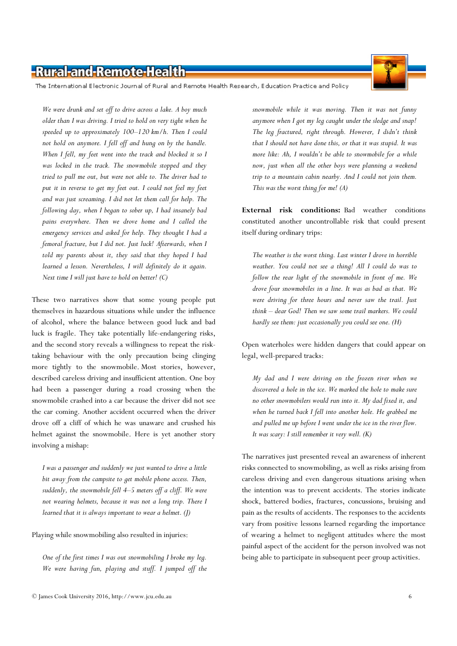The International Electronic Journal of Rural and Remote Health Research, Education Practice and Policy

We were drunk and set off to drive across a lake. A boy much older than I was driving. I tried to hold on very tight when he speeded up to approximately 100–120 km/h. Then I could not hold on anymore. I fell off and hung on by the handle. When I fell, my feet went into the track and blocked it so I was locked in the track. The snowmobile stopped and they tried to pull me out, but were not able to. The driver had to put it in reverse to get my feet out. I could not feel my feet and was just screaming. I did not let them call for help. The following day, when I began to sober up, I had insanely bad pains everywhere. Then we drove home and I called the emergency services and asked for help. They thought I had a femoral fracture, but I did not. Just luck! Afterwards, when I told my parents about it, they said that they hoped I had learned a lesson. Nevertheless, I will definitely do it again. Next time I will just have to hold on better! (C)

These two narratives show that some young people put themselves in hazardous situations while under the influence of alcohol, where the balance between good luck and bad luck is fragile. They take potentially life-endangering risks, and the second story reveals a willingness to repeat the risktaking behaviour with the only precaution being clinging more tightly to the snowmobile. Most stories, however, described careless driving and insufficient attention. One boy had been a passenger during a road crossing when the snowmobile crashed into a car because the driver did not see the car coming. Another accident occurred when the driver drove off a cliff of which he was unaware and crushed his helmet against the snowmobile. Here is yet another story involving a mishap:

I was a passenger and suddenly we just wanted to drive a little bit away from the campsite to get mobile phone access. Then, suddenly, the snowmobile fell 4–5 meters off a cliff. We were not wearing helmets, because it was not a long trip. There I learned that it is always important to wear a helmet. (J)

Playing while snowmobiling also resulted in injuries:

One of the first times I was out snowmobiling I broke my leg. We were having fun, playing and stuff. I jumped off the

snowmobile while it was moving. Then it was not funny anymore when I got my leg caught under the sledge and snap! The leg fractured, right through. However, I didn't think that I should not have done this, or that it was stupid. It was more like: Ah, I wouldn't be able to snowmobile for a while now, just when all the other boys were planning a weekend trip to a mountain cabin nearby. And I could not join them. This was the worst thing for me!  $(A)$ 

External risk conditions: Bad weather conditions constituted another uncontrollable risk that could present itself during ordinary trips:

The weather is the worst thing. Last winter I drove in horrible weather. You could not see a thing! All I could do was to follow the rear light of the snowmobile in front of me. We drove four snowmobiles in a line. It was as bad as that. We were driving for three hours and never saw the trail. Just think – dear God! Then we saw some trail markers. We could hardly see them: just occasionally you could see one. (H)

Open waterholes were hidden dangers that could appear on legal, well-prepared tracks:

My dad and I were driving on the frozen river when we discovered a hole in the ice. We marked the hole to make sure no other snowmobilers would run into it. My dad fixed it, and when he turned back I fell into another hole. He grabbed me and pulled me up before I went under the ice in the river flow. It was scary: I still remember it very well. (K)

The narratives just presented reveal an awareness of inherent risks connected to snowmobiling, as well as risks arising from careless driving and even dangerous situations arising when the intention was to prevent accidents. The stories indicate shock, battered bodies, fractures, concussions, bruising and pain as the results of accidents. The responses to the accidents vary from positive lessons learned regarding the importance of wearing a helmet to negligent attitudes where the most painful aspect of the accident for the person involved was not being able to participate in subsequent peer group activities.

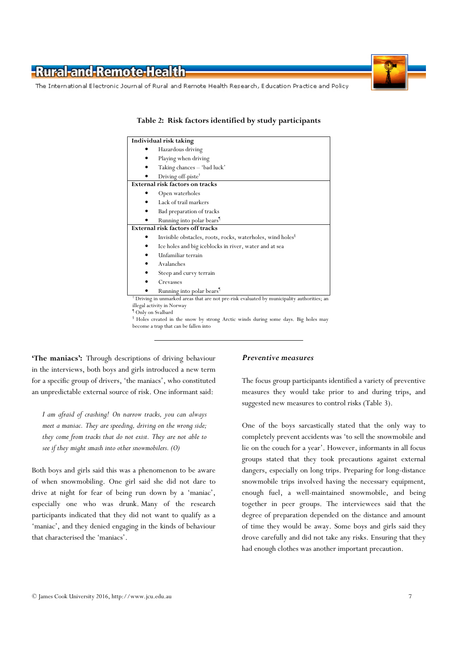

The International Electronic Journal of Rural and Remote Health Research, Education Practice and Policy

| Individual risk taking                                                                                 |
|--------------------------------------------------------------------------------------------------------|
| Hazardous driving                                                                                      |
| Playing when driving                                                                                   |
| Taking chances - 'bad luck'                                                                            |
| Driving off-piste <sup>†</sup>                                                                         |
| <b>External risk factors on tracks</b>                                                                 |
| Open waterholes                                                                                        |
| Lack of trail markers                                                                                  |
| Bad preparation of tracks                                                                              |
| Running into polar bears <sup>1</sup>                                                                  |
| External risk factors off tracks                                                                       |
| Invisible obstacles, roots, rocks, waterholes, wind holes <sup>8</sup>                                 |
| Ice holes and big iceblocks in river, water and at sea                                                 |
| Unfamiliar terrain                                                                                     |
| Avalanches                                                                                             |
| Steep and curvy terrain                                                                                |
| Crevasses                                                                                              |
| Running into polar bears <sup>1</sup>                                                                  |
| <sup>†</sup> Driving in unmarked areas that are not pre-risk evaluated by municipality authorities; an |
| illegal activity in Norway                                                                             |
| <sup>1</sup> Only on Svalbard                                                                          |
| I Holes greated in the grow by strong Arctic winds during some days. Big holes may                     |

Table 2: Risk factors identified by study participants

 Holes created in the snow by strong Arctic winds during some days. Big holes may become a trap that can be fallen into

'The maniacs': Through descriptions of driving behaviour in the interviews, both boys and girls introduced a new term for a specific group of drivers, 'the maniacs', who constituted an unpredictable external source of risk. One informant said:

I am afraid of crashing! On narrow tracks, you can always meet a maniac. They are speeding, driving on the wrong side; they come from tracks that do not exist. They are not able to see if they might smash into other snowmobilers. (O)

Both boys and girls said this was a phenomenon to be aware of when snowmobiling. One girl said she did not dare to drive at night for fear of being run down by a 'maniac', especially one who was drunk. Many of the research participants indicated that they did not want to qualify as a 'maniac', and they denied engaging in the kinds of behaviour that characterised the 'maniacs'.

#### Preventive measures

The focus group participants identified a variety of preventive measures they would take prior to and during trips, and suggested new measures to control risks (Table 3).

One of the boys sarcastically stated that the only way to completely prevent accidents was 'to sell the snowmobile and lie on the couch for a year'. However, informants in all focus groups stated that they took precautions against external dangers, especially on long trips. Preparing for long-distance snowmobile trips involved having the necessary equipment, enough fuel, a well-maintained snowmobile, and being together in peer groups. The interviewees said that the degree of preparation depended on the distance and amount of time they would be away. Some boys and girls said they drove carefully and did not take any risks. Ensuring that they had enough clothes was another important precaution.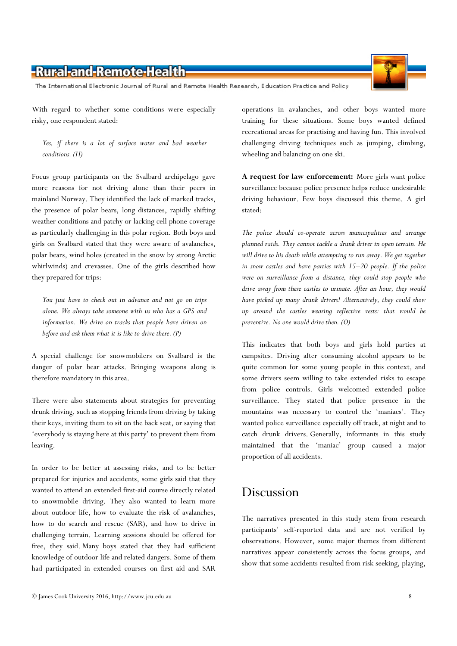The International Electronic Journal of Rural and Remote Health Research, Education Practice and Policy

With regard to whether some conditions were especially risky, one respondent stated:

Yes, if there is a lot of surface water and bad weather conditions. (H)

Focus group participants on the Svalbard archipelago gave more reasons for not driving alone than their peers in mainland Norway. They identified the lack of marked tracks, the presence of polar bears, long distances, rapidly shifting weather conditions and patchy or lacking cell phone coverage as particularly challenging in this polar region. Both boys and girls on Svalbard stated that they were aware of avalanches, polar bears, wind holes (created in the snow by strong Arctic whirlwinds) and crevasses. One of the girls described how they prepared for trips:

You just have to check out in advance and not go on trips alone. We always take someone with us who has a GPS and information. We drive on tracks that people have driven on before and ask them what it is like to drive there. (P)

A special challenge for snowmobilers on Svalbard is the danger of polar bear attacks. Bringing weapons along is therefore mandatory in this area.

There were also statements about strategies for preventing drunk driving, such as stopping friends from driving by taking their keys, inviting them to sit on the back seat, or saying that 'everybody is staying here at this party' to prevent them from leaving.

In order to be better at assessing risks, and to be better prepared for injuries and accidents, some girls said that they wanted to attend an extended first-aid course directly related to snowmobile driving. They also wanted to learn more about outdoor life, how to evaluate the risk of avalanches, how to do search and rescue (SAR), and how to drive in challenging terrain. Learning sessions should be offered for free, they said. Many boys stated that they had sufficient knowledge of outdoor life and related dangers. Some of them had participated in extended courses on first aid and SAR

operations in avalanches, and other boys wanted more training for these situations. Some boys wanted defined recreational areas for practising and having fun. This involved challenging driving techniques such as jumping, climbing, wheeling and balancing on one ski.

A request for law enforcement: More girls want police surveillance because police presence helps reduce undesirable driving behaviour. Few boys discussed this theme. A girl stated:

The police should co-operate across municipalities and arrange planned raids. They cannot tackle a drunk driver in open terrain. He will drive to his death while attempting to run away. We get together in snow castles and have parties with 15–20 people. If the police were on surveillance from a distance, they could stop people who drive away from these castles to urinate. After an hour, they would have picked up many drunk drivers! Alternatively, they could show up around the castles wearing reflective vests: that would be preventive. No one would drive then. (O)

This indicates that both boys and girls hold parties at campsites. Driving after consuming alcohol appears to be quite common for some young people in this context, and some drivers seem willing to take extended risks to escape from police controls. Girls welcomed extended police surveillance. They stated that police presence in the mountains was necessary to control the 'maniacs'. They wanted police surveillance especially off track, at night and to catch drunk drivers. Generally, informants in this study maintained that the 'maniac' group caused a major proportion of all accidents.

### Discussion

The narratives presented in this study stem from research participants' self-reported data and are not verified by observations. However, some major themes from different narratives appear consistently across the focus groups, and show that some accidents resulted from risk seeking, playing,

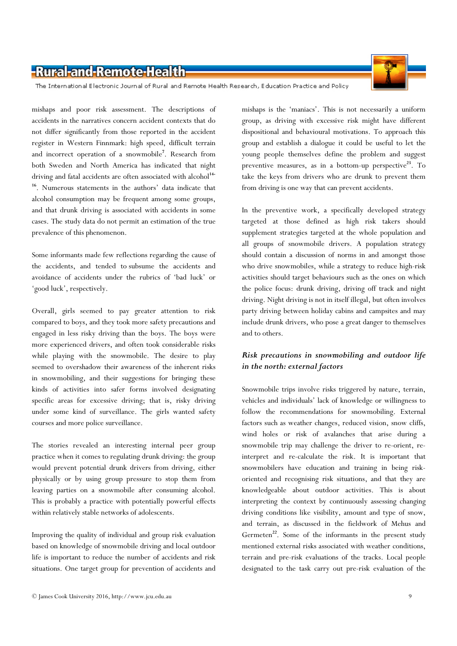

The International Electronic Journal of Rural and Remote Health Research, Education Practice and Policy

mishaps and poor risk assessment. The descriptions of accidents in the narratives concern accident contexts that do not differ significantly from those reported in the accident register in Western Finnmark: high speed, difficult terrain and incorrect operation of a snowmobile<sup>7</sup>. Research from both Sweden and North America has indicated that night driving and fatal accidents are often associated with alcohol<sup>14-</sup> <sup>16</sup>. Numerous statements in the authors' data indicate that alcohol consumption may be frequent among some groups, and that drunk driving is associated with accidents in some cases. The study data do not permit an estimation of the true prevalence of this phenomenon.

Some informants made few reflections regarding the cause of the accidents, and tended to subsume the accidents and avoidance of accidents under the rubrics of 'bad luck' or 'good luck', respectively.

Overall, girls seemed to pay greater attention to risk compared to boys, and they took more safety precautions and engaged in less risky driving than the boys. The boys were more experienced drivers, and often took considerable risks while playing with the snowmobile. The desire to play seemed to overshadow their awareness of the inherent risks in snowmobiling, and their suggestions for bringing these kinds of activities into safer forms involved designating specific areas for excessive driving; that is, risky driving under some kind of surveillance. The girls wanted safety courses and more police surveillance.

The stories revealed an interesting internal peer group practice when it comes to regulating drunk driving: the group would prevent potential drunk drivers from driving, either physically or by using group pressure to stop them from leaving parties on a snowmobile after consuming alcohol. This is probably a practice with potentially powerful effects within relatively stable networks of adolescents.

Improving the quality of individual and group risk evaluation based on knowledge of snowmobile driving and local outdoor life is important to reduce the number of accidents and risk situations. One target group for prevention of accidents and

mishaps is the 'maniacs'. This is not necessarily a uniform group, as driving with excessive risk might have different dispositional and behavioural motivations. To approach this group and establish a dialogue it could be useful to let the young people themselves define the problem and suggest preventive measures, as in a bottom-up perspective<sup>23</sup>. To take the keys from drivers who are drunk to prevent them from driving is one way that can prevent accidents.

In the preventive work, a specifically developed strategy targeted at those defined as high risk takers should supplement strategies targeted at the whole population and all groups of snowmobile drivers. A population strategy should contain a discussion of norms in and amongst those who drive snowmobiles, while a strategy to reduce high-risk activities should target behaviours such as the ones on which the police focus: drunk driving, driving off track and night driving. Night driving is not in itself illegal, but often involves party driving between holiday cabins and campsites and may include drunk drivers, who pose a great danger to themselves and to others.

#### Risk precautions in snowmobiling and outdoor life in the north: external factors

Snowmobile trips involve risks triggered by nature, terrain, vehicles and individuals' lack of knowledge or willingness to follow the recommendations for snowmobiling. External factors such as weather changes, reduced vision, snow cliffs, wind holes or risk of avalanches that arise during a snowmobile trip may challenge the driver to re-orient, reinterpret and re-calculate the risk. It is important that snowmobilers have education and training in being riskoriented and recognising risk situations, and that they are knowledgeable about outdoor activities. This is about interpreting the context by continuously assessing changing driving conditions like visibility, amount and type of snow, and terrain, as discussed in the fieldwork of Mehus and Germeten<sup>22</sup>. Some of the informants in the present study mentioned external risks associated with weather conditions, terrain and pre-risk evaluations of the tracks. Local people designated to the task carry out pre-risk evaluation of the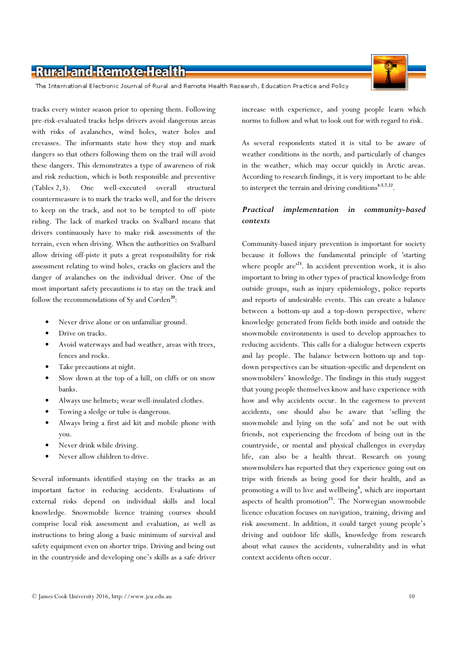

The International Electronic Journal of Rural and Remote Health Research, Education Practice and Policy

tracks every winter season prior to opening them. Following pre-risk-evaluated tracks helps drivers avoid dangerous areas with risks of avalanches, wind holes, water holes and crevasses. The informants state how they stop and mark dangers so that others following them on the trail will avoid these dangers. This demonstrates a type of awareness of risk and risk reduction, which is both responsible and preventive (Tables 2,3). One well-executed overall structural countermeasure is to mark the tracks well, and for the drivers to keep on the track, and not to be tempted to off -piste riding. The lack of marked tracks on Svalbard means that drivers continuously have to make risk assessments of the terrain, even when driving. When the authorities on Svalbard allow driving off-piste it puts a great responsibility for risk assessment relating to wind holes, cracks on glaciers and the danger of avalanches on the individual driver. One of the most important safety precautions is to stay on the track and follow the recommendations of Sy and Corden<sup>20</sup>:

- Never drive alone or on unfamiliar ground.
- Drive on tracks.
- Avoid waterways and bad weather, areas with trees, fences and rocks.
- Take precautions at night.
- Slow down at the top of a hill, on cliffs or on snow banks.
- Always use helmets; wear well-insulated clothes.
- Towing a sledge or tube is dangerous.
- Always bring a first aid kit and mobile phone with you.
- Never drink while driving.
- Never allow children to drive.

Several informants identified staying on the tracks as an important factor in reducing accidents. Evaluations of external risks depend on individual skills and local knowledge. Snowmobile licence training courses should comprise local risk assessment and evaluation, as well as instructions to bring along a basic minimum of survival and safety equipment even on shorter trips. Driving and being out in the countryside and developing one's skills as a safe driver

increase with experience, and young people learn which norms to follow and what to look out for with regard to risk.

As several respondents stated it is vital to be aware of weather conditions in the north, and particularly of changes in the weather, which may occur quickly in Arctic areas. According to research findings, it is very important to be able to interpret the terrain and driving conditions<sup>4,5,7,22</sup>.

#### Practical implementation in community-based contexts

Community-based injury prevention is important for society because it follows the fundamental principle of 'starting where people  $are^{23}$ . In accident prevention work, it is also important to bring in other types of practical knowledge from outside groups, such as injury epidemiology, police reports and reports of undesirable events. This can create a balance between a bottom-up and a top-down perspective, where knowledge generated from fields both inside and outside the snowmobile environments is used to develop approaches to reducing accidents. This calls for a dialogue between experts and lay people. The balance between bottom-up and topdown perspectives can be situation-specific and dependent on snowmobilers' knowledge. The findings in this study suggest that young people themselves know and have experience with how and why accidents occur. In the eagerness to prevent accidents, one should also be aware that 'selling the snowmobile and lying on the sofa' and not be out with friends, not experiencing the freedom of being out in the countryside, or mental and physical challenges in everyday life, can also be a health threat. Research on young snowmobilers has reported that they experience going out on trips with friends as being good for their health, and as promoting a will to live and wellbeing<sup>4</sup>, which are important aspects of health promotion $^{23}$ . The Norwegian snowmobile licence education focuses on navigation, training, driving and risk assessment. In addition, it could target young people's driving and outdoor life skills, knowledge from research about what causes the accidents, vulnerability and in what context accidents often occur.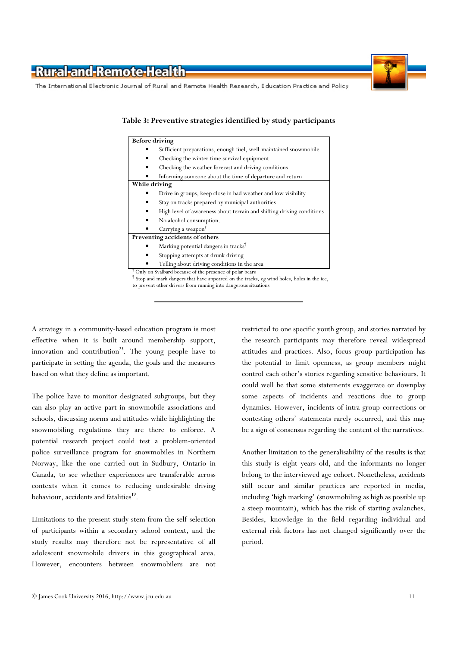The International Electronic Journal of Rural and Remote Health Research, Education Practice and Policy

-Rural-and-Remote-Health

| <b>Before driving</b>                                                                    |
|------------------------------------------------------------------------------------------|
| Sufficient preparations, enough fuel, well-maintained snowmobile                         |
| Checking the winter time survival equipment                                              |
| Checking the weather forecast and driving conditions                                     |
| Informing someone about the time of departure and return                                 |
| While driving                                                                            |
| Drive in groups, keep close in bad weather and low visibility                            |
| Stay on tracks prepared by municipal authorities                                         |
| High level of awareness about terrain and shifting driving conditions                    |
| No alcohol consumption.                                                                  |
| Carrying a weapon <sup>†</sup>                                                           |
| Preventing accidents of others                                                           |
| Marking potential dangers in tracks <sup>1</sup>                                         |
| Stopping attempts at drunk driving                                                       |
| Telling about driving conditions in the area                                             |
| <sup>†</sup> Only on Svalbard because of the presence of polar bears                     |
| Stop and mark dangers that have appeared on the tracks, eg wind holes, holes in the ice, |
| to prevent other drivers from running into dangerous situations                          |

Table 3: Preventive strategies identified by study participants

A strategy in a community-based education program is most effective when it is built around membership support, innovation and contribution $^{23}$ . The young people have to participate in setting the agenda, the goals and the measures based on what they define as important.

The police have to monitor designated subgroups, but they can also play an active part in snowmobile associations and schools, discussing norms and attitudes while highlighting the snowmobiling regulations they are there to enforce. A potential research project could test a problem-oriented police surveillance program for snowmobiles in Northern Norway, like the one carried out in Sudbury, Ontario in Canada, to see whether experiences are transferable across contexts when it comes to reducing undesirable driving behaviour, accidents and fatalities<sup>19</sup>.

Limitations to the present study stem from the self-selection of participants within a secondary school context, and the study results may therefore not be representative of all adolescent snowmobile drivers in this geographical area. However, encounters between snowmobilers are not

restricted to one specific youth group, and stories narrated by the research participants may therefore reveal widespread attitudes and practices. Also, focus group participation has the potential to limit openness, as group members might control each other's stories regarding sensitive behaviours. It could well be that some statements exaggerate or downplay some aspects of incidents and reactions due to group dynamics. However, incidents of intra-group corrections or contesting others' statements rarely occurred, and this may be a sign of consensus regarding the content of the narratives.

Another limitation to the generalisability of the results is that this study is eight years old, and the informants no longer belong to the interviewed age cohort. Nonetheless, accidents still occur and similar practices are reported in media, including 'high marking' (snowmobiling as high as possible up a steep mountain), which has the risk of starting avalanches. Besides, knowledge in the field regarding individual and external risk factors has not changed significantly over the period.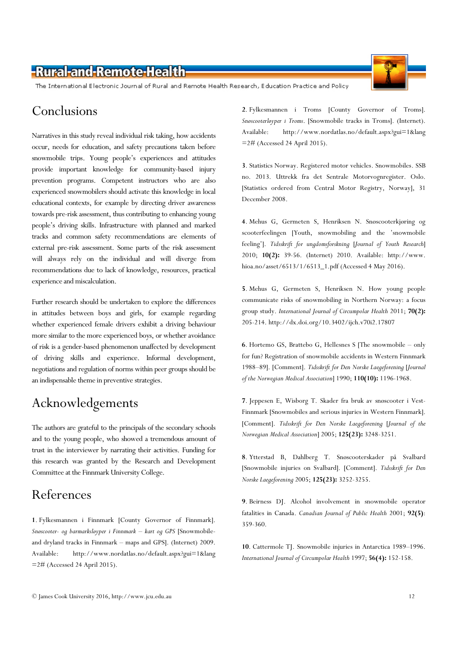The International Electronic Journal of Rural and Remote Health Research, Education Practice and Policy

### Conclusions

Narratives in this study reveal individual risk taking, how accidents occur, needs for education, and safety precautions taken before snowmobile trips. Young people's experiences and attitudes provide important knowledge for community-based injury prevention programs. Competent instructors who are also experienced snowmobilers should activate this knowledge in local educational contexts, for example by directing driver awareness towards pre-risk assessment, thus contributing to enhancing young people's driving skills. Infrastructure with planned and marked tracks and common safety recommendations are elements of external pre-risk assessment. Some parts of the risk assessment will always rely on the individual and will diverge from recommendations due to lack of knowledge, resources, practical experience and miscalculation.

Further research should be undertaken to explore the differences in attitudes between boys and girls, for example regarding whether experienced female drivers exhibit a driving behaviour more similar to the more experienced boys, or whether avoidance of risk is a gender-based phenomenon unaffected by development of driving skills and experience. Informal development, negotiations and regulation of norms within peer groups should be an indispensable theme in preventive strategies.

## Acknowledgements

The authors are grateful to the principals of the secondary schools and to the young people, who showed a tremendous amount of trust in the interviewer by narrating their activities. Funding for this research was granted by the Research and Development Committee at the Finnmark University College.

### References

1. Fylkesmannen i Finnmark [County Governor of Finnmark]. Snøscooter- og barmarksløyper i Finnmark – kart og GPS [Snowmobileand dryland tracks in Finnmark – maps and GPS]. (Internet) 2009. Available: http://www.nordatlas.no/default.aspx?gui=1&lang =2# (Accessed 24 April 2015).

2. Fylkesmannen i Troms [County Governor of Troms]. Snøscooterløyper i Troms. [Snowmobile tracks in Troms]. (Internet). Available: http://www.nordatlas.no/default.aspx?gui=1&lang  $=2\#$  (Accessed 24 April 2015).

3. Statistics Norway. Registered motor vehicles. Snowmobiles. SSB no. 2013. Uttrekk fra det Sentrale Motorvognregister. Oslo. [Statistics ordered from Central Motor Registry, Norway], 31 December 2008.

4. Mehus G, Germeten S, Henriksen N. Snøscooterkjøring og scooterfeelingen [Youth, snowmobiling and the 'snowmobile feeling']. Tidsskrift for ungdomsforskning [Journal of Youth Research] 2010; 10(2): 39-56. (Internet) 2010. Available: http://www. hioa.no/asset/6513/1/6513\_1.pdf (Accessed 4 May 2016).

5. Mehus G, Germeten S, Henriksen N. How young people communicate risks of snowmobiling in Northern Norway: a focus group study. International Journal of Circumpolar Health 2011; 70(2): 205-214. http://dx.doi.org/10.3402/ijch.v70i2.17807

6. Hortemo GS, Brattebo G, Hellesnes S [The snowmobile – only for fun? Registration of snowmobile accidents in Western Finnmark 1988–89]. [Comment]. Tidsskrift for Den Norske Laegeforening [Journal of the Norwegian Medical Association] 1990; 110(10): 1196-1968.

7. Jeppesen E, Wisborg T. Skader fra bruk av snøscooter i Vest-Finnmark [Snowmobiles and serious injuries in Western Finnmark]. [Comment]. Tidsskrift for Den Norske Laegeforening [Journal of the Norwegian Medical Association] 2005; 125(23): 3248-3251.

8. Ytterstad B, Dahlberg T. Snøscooterskader på Svalbard [Snowmobile injuries on Svalbard]. [Comment]. Tidsskrift for Den Norske Laegeforening 2005; 125(23): 3252-3255.

9. Beirness DJ. Alcohol involvement in snowmobile operator fatalities in Canada. Canadian Journal of Public Health 2001; 92(5): 359-360.

10. Cattermole TJ. Snowmobile injuries in Antarctica 1989–1996. International Journal of Circumpolar Health 1997; 56(4): 152-158.